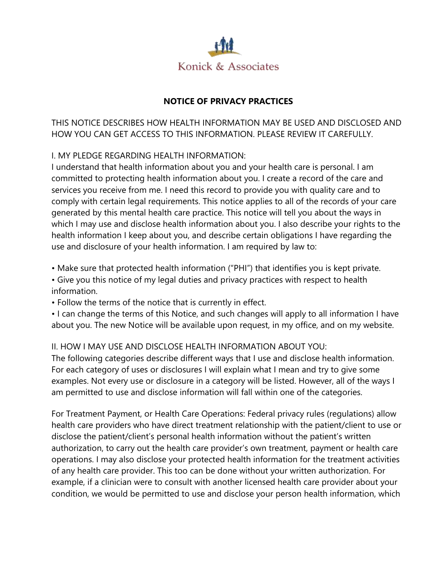

# **NOTICE OF PRIVACY PRACTICES**

THIS NOTICE DESCRIBES HOW HEALTH INFORMATION MAY BE USED AND DISCLOSED AND HOW YOU CAN GET ACCESS TO THIS INFORMATION. PLEASE REVIEW IT CAREFULLY.

## I. MY PLEDGE REGARDING HEALTH INFORMATION:

I understand that health information about you and your health care is personal. I am committed to protecting health information about you. I create a record of the care and services you receive from me. I need this record to provide you with quality care and to comply with certain legal requirements. This notice applies to all of the records of your care generated by this mental health care practice. This notice will tell you about the ways in which I may use and disclose health information about you. I also describe your rights to the health information I keep about you, and describe certain obligations I have regarding the use and disclosure of your health information. I am required by law to:

• Make sure that protected health information ("PHI") that identifies you is kept private.

• Give you this notice of my legal duties and privacy practices with respect to health information.

• Follow the terms of the notice that is currently in effect.

• I can change the terms of this Notice, and such changes will apply to all information I have about you. The new Notice will be available upon request, in my office, and on my website.

## II. HOW I MAY USE AND DISCLOSE HEALTH INFORMATION ABOUT YOU:

The following categories describe different ways that I use and disclose health information. For each category of uses or disclosures I will explain what I mean and try to give some examples. Not every use or disclosure in a category will be listed. However, all of the ways I am permitted to use and disclose information will fall within one of the categories.

For Treatment Payment, or Health Care Operations: Federal privacy rules (regulations) allow health care providers who have direct treatment relationship with the patient/client to use or disclose the patient/client's personal health information without the patient's written authorization, to carry out the health care provider's own treatment, payment or health care operations. I may also disclose your protected health information for the treatment activities of any health care provider. This too can be done without your written authorization. For example, if a clinician were to consult with another licensed health care provider about your condition, we would be permitted to use and disclose your person health information, which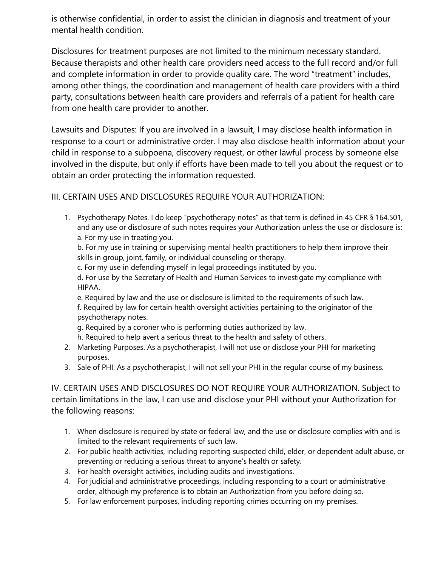is otherwise confidential, in order to assist the clinician in diagnosis and treatment of your mental health condition.

Disclosures for treatment purposes are not limited to the minimum necessary standard. Because therapists and other health care providers need access to the full record and/or full and complete information in order to provide quality care. The word "treatment" includes, among other things, the coordination and management of health care providers with a third party, consultations between health care providers and referrals of a patient for health care from one health care provider to another.

Lawsuits and Disputes: If you are involved in a lawsuit, I may disclose health information in response to a court or administrative order. I may also disclose health information about your child in response to a subpoena, discovery request, or other lawful process by someone else involved in the dispute, but only if efforts have been made to tell you about the request or to obtain an order protecting the information requested.

# III. CERTAIN USES AND DISCLOSURES REQUIRE YOUR AUTHORIZATION:

1. Psychotherapy Notes. I do keep "psychotherapy notes" as that term is defined in 45 CFR § 164.501, and any use or disclosure of such notes requires your Authorization unless the use or disclosure is: a. For my use in treating you.

b. For my use in training or supervising mental health practitioners to help them improve their skills in group, joint, family, or individual counseling or therapy.

c. For my use in defending myself in legal proceedings instituted by you.

d. For use by the Secretary of Health and Human Services to investigate my compliance with HIPAA.

e. Required by law and the use or disclosure is limited to the requirements of such law. f. Required by law for certain health oversight activities pertaining to the originator of the psychotherapy notes.

- g. Required by a coroner who is performing duties authorized by law.
- h. Required to help avert a serious threat to the health and safety of others.
- 2. Marketing Purposes. As a psychotherapist, I will not use or disclose your PHI for marketing purposes.
- 3. Sale of PHI. As a psychotherapist, I will not sell your PHI in the regular course of my business.

IV. CERTAIN USES AND DISCLOSURES DO NOT REQUIRE YOUR AUTHORIZATION. Subject to certain limitations in the law, I can use and disclose your PHI without your Authorization for the following reasons:

- 1. When disclosure is required by state or federal law, and the use or disclosure complies with and is limited to the relevant requirements of such law.
- 2. For public health activities, including reporting suspected child, elder, or dependent adult abuse, or preventing or reducing a serious threat to anyone's health or safety.
- 3. For health oversight activities, including audits and investigations.
- 4. For judicial and administrative proceedings, including responding to a court or administrative order, although my preference is to obtain an Authorization from you before doing so.
- 5. For law enforcement purposes, including reporting crimes occurring on my premises.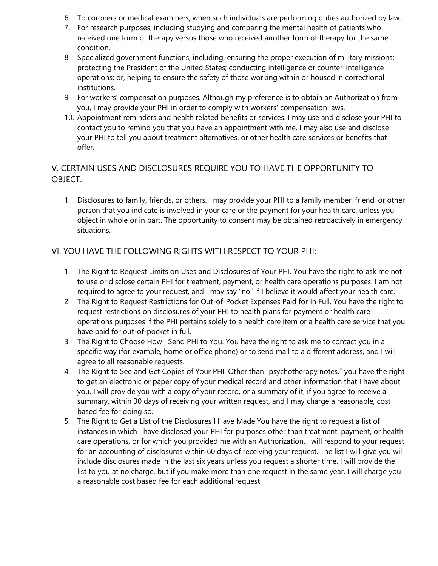- 6. To coroners or medical examiners, when such individuals are performing duties authorized by law.
- 7. For research purposes, including studying and comparing the mental health of patients who received one form of therapy versus those who received another form of therapy for the same condition.
- 8. Specialized government functions, including, ensuring the proper execution of military missions; protecting the President of the United States; conducting intelligence or counter-intelligence operations; or, helping to ensure the safety of those working within or housed in correctional institutions.
- 9. For workers' compensation purposes. Although my preference is to obtain an Authorization from you, I may provide your PHI in order to comply with workers' compensation laws.
- 10. Appointment reminders and health related benefits or services. I may use and disclose your PHI to contact you to remind you that you have an appointment with me. I may also use and disclose your PHI to tell you about treatment alternatives, or other health care services or benefits that I offer.

# V. CERTAIN USES AND DISCLOSURES REQUIRE YOU TO HAVE THE OPPORTUNITY TO OBJECT.

1. Disclosures to family, friends, or others. I may provide your PHI to a family member, friend, or other person that you indicate is involved in your care or the payment for your health care, unless you object in whole or in part. The opportunity to consent may be obtained retroactively in emergency situations.

## VI. YOU HAVE THE FOLLOWING RIGHTS WITH RESPECT TO YOUR PHI:

- 1. The Right to Request Limits on Uses and Disclosures of Your PHI. You have the right to ask me not to use or disclose certain PHI for treatment, payment, or health care operations purposes. I am not required to agree to your request, and I may say "no" if I believe it would affect your health care.
- 2. The Right to Request Restrictions for Out-of-Pocket Expenses Paid for In Full. You have the right to request restrictions on disclosures of your PHI to health plans for payment or health care operations purposes if the PHI pertains solely to a health care item or a health care service that you have paid for out-of-pocket in full.
- 3. The Right to Choose How I Send PHI to You. You have the right to ask me to contact you in a specific way (for example, home or office phone) or to send mail to a different address, and I will agree to all reasonable requests.
- 4. The Right to See and Get Copies of Your PHI. Other than "psychotherapy notes," you have the right to get an electronic or paper copy of your medical record and other information that I have about you. I will provide you with a copy of your record, or a summary of it, if you agree to receive a summary, within 30 days of receiving your written request, and I may charge a reasonable, cost based fee for doing so.
- 5. The Right to Get a List of the Disclosures I Have Made.You have the right to request a list of instances in which I have disclosed your PHI for purposes other than treatment, payment, or health care operations, or for which you provided me with an Authorization. I will respond to your request for an accounting of disclosures within 60 days of receiving your request. The list I will give you will include disclosures made in the last six years unless you request a shorter time. I will provide the list to you at no charge, but if you make more than one request in the same year, I will charge you a reasonable cost based fee for each additional request.